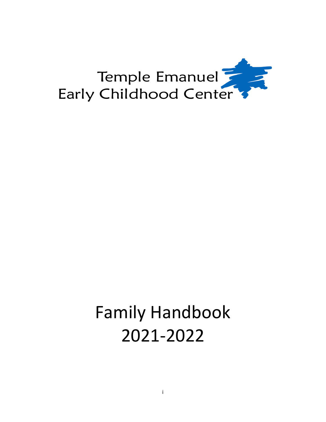

# Family Handbook 2021-2022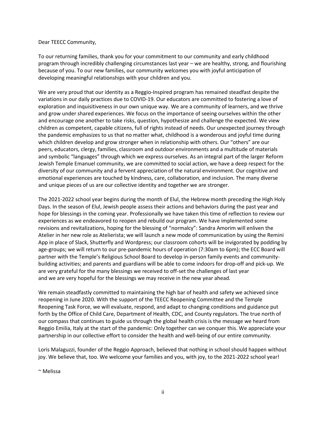#### Dear TEECC Community,

To our returning families, thank you for your commitment to our community and early childhood program through incredibly challenging circumstances last year – we are healthy, strong, and flourishing because of you. To our new families, our community welcomes you with joyful anticipation of developing meaningful relationships with your children and you.

We are very proud that our identity as a Reggio-Inspired program has remained steadfast despite the variations in our daily practices due to COVID-19. Our educators are committed to fostering a love of exploration and inquisitiveness in our own unique way. We are a community of learners, and we thrive and grow under shared experiences. We focus on the importance of seeing ourselves within the other and encourage one another to take risks, question, hypothesize and challenge the expected. We view children as competent, capable citizens, full of rights instead of needs. Our unexpected journey through the pandemic emphasizes to us that no matter what, childhood is a wonderous and joyful time during which children develop and grow stronger when in relationship with others. Our "others" are our peers, educators, clergy, families, classroom and outdoor environments and a multitude of materials and symbolic "languages" through which we express ourselves. As an integral part of the larger Reform Jewish Temple Emanuel community, we are committed to social action, we have a deep respect for the diversity of our community and a fervent appreciation of the natural environment. Our cognitive and emotional experiences are touched by kindness, care, collaboration, and inclusion. The many diverse and unique pieces of us are our collective identity and together we are stronger.

The 2021-2022 school year begins during the month of Elul, the Hebrew month preceding the High Holy Days. In the season of Elul, Jewish people assess their actions and behaviors during the past year and hope for blessings in the coming year. Professionally we have taken this time of reflection to review our experiences as we endeavored to reopen and rebuild our program. We have implemented some revisions and revitalizations, hoping for the blessing of "normalcy": Sandra Amorim will enliven the Atelier in her new role as Atelierista; we will launch a new mode of communication by using the Remini App in place of Slack, Shutterfly and Wordpress; our classroom cohorts will be invigorated by podding by age-groups; we will return to our pre-pandemic hours of operation (7:30am to 6pm); the ECC Board will partner with the Temple's Religious School Board to develop in-person family events and communitybuilding activities; and parents and guardians will be able to come indoors for drop-off and pick-up. We are very grateful for the many blessings we received to off-set the challenges of last year and we are very hopeful for the blessings we may receive in the new year ahead.

We remain steadfastly committed to maintaining the high bar of health and safety we achieved since reopening in June 2020. With the support of the TEECC Reopening Committee and the Temple Reopening Task Force, we will evaluate, respond, and adapt to changing conditions and guidance put forth by the Office of Child Care, Department of Health, CDC, and County regulators. The true north of our compass that continues to guide us through the global health crisis is the message we heard from Reggio Emilia, Italy at the start of the pandemic: Only together can we conquer this. We appreciate your partnership in our collective effort to consider the health and well-being of our entire community.

Loris Malaguzzi, founder of the Reggio Approach, believed that nothing in school should happen without joy. We believe that, too. We welcome your families and you, with joy, to the 2021-2022 school year!

~ Melissa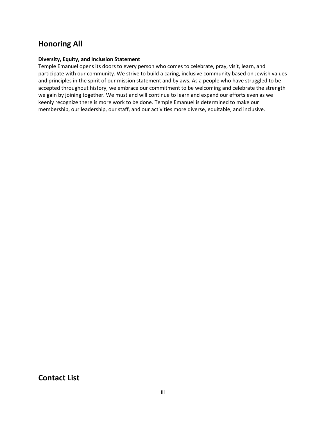# <span id="page-2-0"></span>**Honoring All**

#### **Diversity, Equity, and Inclusion Statement**

Temple Emanuel opens its doors to every person who comes to celebrate, pray, visit, learn, and participate with our community. We strive to build a caring, inclusive community based on Jewish values and principles in the spirit of our mission statement and bylaws. As a people who have struggled to be accepted throughout history, we embrace our commitment to be welcoming and celebrate the strength we gain by joining together. We must and will continue to learn and expand our efforts even as we keenly recognize there is more work to be done. Temple Emanuel is determined to make our membership, our leadership, our staff, and our activities more diverse, equitable, and inclusive.

<span id="page-2-1"></span>**Contact List**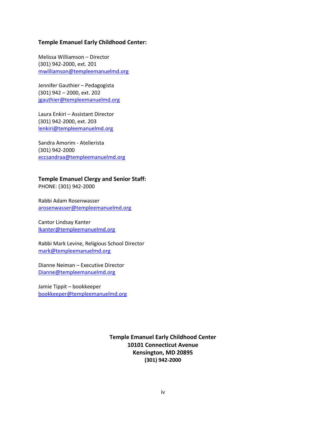#### **Temple Emanuel Early Childhood Center:**

Melissa Williamson – Director (301) 942-2000, ext. 201 [mwilliamson@templeemanuelmd.org](mailto:mwilliamson@templeemanuelmd.org)

Jennifer Gauthier – Pedagogista (301) 942 – 2000, ext. 202 [jgauthier@templeemanuelmd.org](file:///C:/Users/jgauthier/Desktop/jgauthier@templeemanuelmd.org)

Laura Enkiri – Assistant Director (301) 942-2000, ext. 203 [lenkiri@templeemanuelmd.org](mailto:lenkiri@templeemanuelmd.org)

Sandra Amorim - Atelierista (301) 942-2000 [eccsandraa@templeemanuelmd.org](mailto:eccsandraa@templeemanuelmd.org)

**Temple Emanuel Clergy and Senior Staff:** PHONE: (301) 942-2000

Rabbi Adam Rosenwasser [arosenwasser@templeemanuelmd.org](file:///C:/Users/jgauthier/Desktop/arosenwasser@templeemanuelmd.org)

Cantor Lindsay Kanter [lkanter@templeemanuelmd.org](mailto:lkanter@templeemanuelmd.org)

Rabbi Mark Levine, Religious School Director [mark@templeemanuelmd.org](mailto:mark@templeemanuelmd.org)

Dianne Neiman – Executive Director [Dianne@templeemanuelmd.org](mailto:Dianne@templeemanuelmd.org)

Jamie Tippit – bookkeeper [bookkeeper@templeemanuelmd.org](mailto:bookkeeper@templeemanuelmd.org)

> **Temple Emanuel Early Childhood Center 10101 Connecticut Avenue Kensington, MD 20895 (301) 942-2000**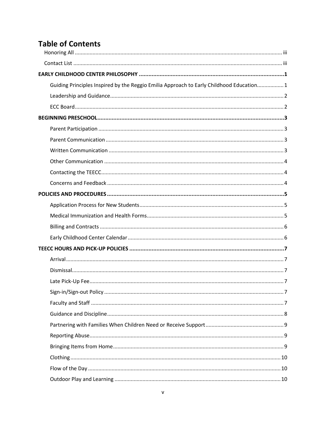# **Table of Contents**

| Guiding Principles Inspired by the Reggio Emilia Approach to Early Childhood Education 1 |  |
|------------------------------------------------------------------------------------------|--|
|                                                                                          |  |
|                                                                                          |  |
|                                                                                          |  |
|                                                                                          |  |
|                                                                                          |  |
|                                                                                          |  |
|                                                                                          |  |
|                                                                                          |  |
|                                                                                          |  |
|                                                                                          |  |
|                                                                                          |  |
|                                                                                          |  |
|                                                                                          |  |
|                                                                                          |  |
|                                                                                          |  |
|                                                                                          |  |
|                                                                                          |  |
|                                                                                          |  |
|                                                                                          |  |
|                                                                                          |  |
|                                                                                          |  |
|                                                                                          |  |
|                                                                                          |  |
|                                                                                          |  |
|                                                                                          |  |
|                                                                                          |  |
|                                                                                          |  |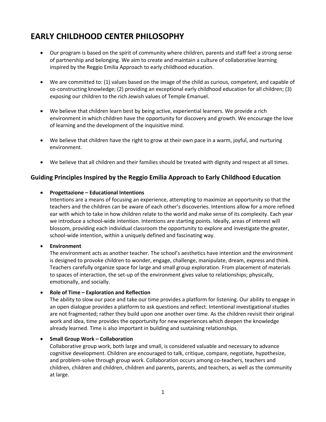# <span id="page-6-0"></span>**EARLY CHILDHOOD CENTER PHILOSOPHY**

- Our program is based on the spirit of community where children, parents and staff feel a strong sense of partnership and belonging. We aim to create and maintain a culture of collaborative learning inspired by the Reggio Emilia Approach to early childhood education.
- We are committed to: (1) values based on the image of the child as curious, competent, and capable of co-constructing knowledge; (2) providing an exceptional early childhood education for all children; (3) exposing our children to the rich Jewish values of Temple Emanuel.
- We believe that children learn best by being active, experiential learners. We provide a rich environment in which children have the opportunity for discovery and growth. We encourage the love of learning and the development of the inquisitive mind.
- We believe that children have the right to grow at their own pace in a warm, joyful, and nurturing environment.
- We believe that all children and their families should be treated with dignity and respect at all times.

# <span id="page-6-1"></span>**Guiding Principles Inspired by the Reggio Emilia Approach to Early Childhood Education**

#### • **Progettazione – Educational Intentions**

Intentions are a means of focusing an experience, attempting to maximize an opportunity so that the teachers and the children can be aware of each other's discoveries. Intentions allow for a more refined ear with which to take in how children relate to the world and make sense of its complexity. Each year we introduce a school-wide intention. Intentions are starting points. Ideally, areas of interest will blossom, providing each individual classroom the opportunity to explore and investigate the greater, school-wide intention, within a uniquely defined and fascinating way.

#### • **Environment**

The environment acts as another teacher. The school's aesthetics have intention and the environment is designed to provoke children to wonder, engage, challenge, manipulate, dream, express and think. Teachers carefully organize space for large and small group exploration. From placement of materials to spaces of interaction, the set-up of the environment gives value to relationships; physically, emotionally, and socially.

#### • **Role of Time – Exploration and Reflection**

The ability to slow our pace and take our time provides a platform for listening. Our ability to engage in an open dialogue provides a platform to ask questions and reflect. Intentional investigational studies are not fragmented; rather they build upon one another over time. As the children revisit their original work and idea, time provides the opportunity for new experiences which deepen the knowledge already learned. Time is also important in building and sustaining relationships.

#### • **Small Group Work – Collaboration**

Collaborative group work, both large and small, is considered valuable and necessary to advance cognitive development. Children are encouraged to talk, critique, compare, negotiate, hypothesize, and problem-solve through group work. Collaboration occurs among co-teachers, teachers and children, children and children, children and parents, parents, and teachers, as well as the community at large.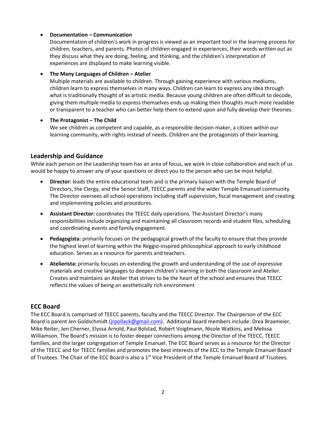#### • **Documentation – Communication**

Documentation of children's work in progress is viewed as an important tool in the learning process for children, teachers, and parents. Photos of children engaged in experiences, their words written out as they discuss what they are doing, feeling, and thinking, and the children's interpretation of experiences are displayed to make learning visible.

#### • **The Many Languages of Children – Atelier**

Multiple materials are available to children. Through gaining experience with various mediums, children learn to express themselves in many ways. Children can learn to express any idea through what is traditionally thought of as artistic media. Because young children are often difficult to decode, giving them multiple media to express themselves ends up making their thoughts much more readable or transparent to a teacher who can better help them to extend upon and fully develop their theories.

#### • **The Protagonist – The Child**

We see children as competent and capable, as a responsible decision maker, a citizen within our learning community, with rights instead of needs. Children are the protagonists of their learning.

# <span id="page-7-0"></span>**Leadership and Guidance**

While each person on the Leadership team has an area of focus, we work in close collaboration and each of us would be happy to answer any of your questions or direct you to the person who can be most helpful.

- **Director:** leads the entire educational team and is the primary liaison with the Temple Board of Directors, the Clergy, and the Senior Staff, TEECC parents and the wider Temple Emanuel community. The Director oversees all school operations including staff supervision, fiscal management and creating and implementing policies and procedures.
- **Assistant Director:** coordinates the TEECC daily operations. The Assistant Director's many responsibilities include organizing and maintaining all classroom records and student files, scheduling and coordinating events and family engagement.
- **Pedagogista:** primarily focuses on the pedagogical growth of the faculty to ensure that they provide the highest level of learning within the Reggio-inspired philosophical approach to early childhood education. Serves as a resource for parents and teachers.
- **Atelierista:** primarily focuses on extending the growth and understanding of the use of expressive materials and creative languages to deepen children's learning in both the classroom and Atelier. Creates and maintains an Atelier that strives to be the heart of the school and ensures that TEECC reflects the values of being an aesthetically rich environment

## <span id="page-7-1"></span>**ECC Board**

The ECC Board is comprised of TEECC parents, faculty and the TEECC Director. The Chairperson of the ECC Board is parent Jen Goldschmidt [\(jrpollack@gmail.com\)](mailto:jrpollack@gmail.com). Additional board members include: Drea Braxmeier, Mike Reiter, Jen Cherner, Elyssa Arnold, Paul Bolstad, Robert Voigtmann, Nicole Watkins, and Melissa Williamson. The Board's mission is to foster deeper connections among the Director of the TEECC, TEECC families, and the larger congregation of Temple Emanuel. The ECC Board serves as a resource for the Director of the TEECC and for TEECC families and promotes the best interests of the ECC to the Temple Emanuel Board of Trustees. The Chair of the ECC Board is also a 1<sup>st</sup> Vice President of the Temple Emanuel Board of Trustees.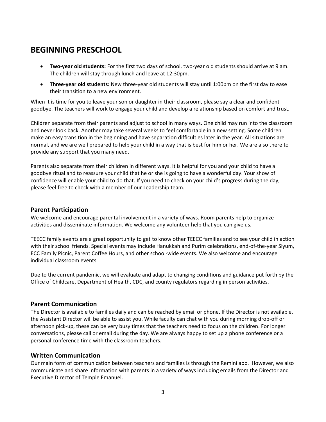# <span id="page-8-0"></span>**BEGINNING PRESCHOOL**

- **Two-year old students:** For the first two days of school, two-year old students should arrive at 9 am. The children will stay through lunch and leave at 12:30pm.
- **Three-year old students:** New three-year old students will stay until 1:00pm on the first day to ease their transition to a new environment.

When it is time for you to leave your son or daughter in their classroom, please say a clear and confident goodbye. The teachers will work to engage your child and develop a relationship based on comfort and trust.

Children separate from their parents and adjust to school in many ways. One child may run into the classroom and never look back. Another may take several weeks to feel comfortable in a new setting. Some children make an easy transition in the beginning and have separation difficulties later in the year. All situations are normal, and we are well prepared to help your child in a way that is best for him or her. We are also there to provide any support that you many need.

Parents also separate from their children in different ways. It is helpful for you and your child to have a goodbye ritual and to reassure your child that he or she is going to have a wonderful day. Your show of confidence will enable your child to do that. If you need to check on your child's progress during the day, please feel free to check with a member of our Leadership team.

## <span id="page-8-1"></span>**Parent Participation**

We welcome and encourage parental involvement in a variety of ways. Room parents help to organize activities and disseminate information. We welcome any volunteer help that you can give us.

TEECC family events are a great opportunity to get to know other TEECC families and to see your child in action with their school friends. Special events may include Hanukkah and Purim celebrations, end-of-the-year Siyum, ECC Family Picnic, Parent Coffee Hours, and other school-wide events. We also welcome and encourage individual classroom events.

Due to the current pandemic, we will evaluate and adapt to changing conditions and guidance put forth by the Office of Childcare, Department of Health, CDC, and county regulators regarding in person activities.

## <span id="page-8-2"></span>**Parent Communication**

The Director is available to families daily and can be reached by email or phone. If the Director is not available, the Assistant Director will be able to assist you. While faculty can chat with you during morning drop-off or afternoon pick-up, these can be very busy times that the teachers need to focus on the children. For longer conversations, please call or email during the day. We are always happy to set up a phone conference or a personal conference time with the classroom teachers.

# <span id="page-8-3"></span>**Written Communication**

Our main form of communication between teachers and families is through the Remini app. However, we also communicate and share information with parents in a variety of ways including emails from the Director and Executive Director of Temple Emanuel.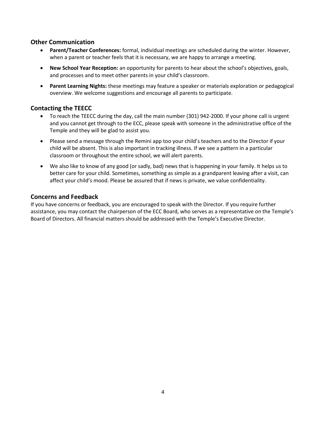# <span id="page-9-0"></span>**Other Communication**

- **Parent/Teacher Conferences:** formal, individual meetings are scheduled during the winter. However, when a parent or teacher feels that it is necessary, we are happy to arrange a meeting.
- **New School Year Reception:** an opportunity for parents to hear about the school's objectives, goals, and processes and to meet other parents in your child's classroom.
- **Parent Learning Nights:** these meetings may feature a speaker or materials exploration or pedagogical overview. We welcome suggestions and encourage all parents to participate.

# <span id="page-9-1"></span>**Contacting the TEECC**

- To reach the TEECC during the day, call the main number (301) 942-2000. If your phone call is urgent and you cannot get through to the ECC, please speak with someone in the administrative office of the Temple and they will be glad to assist you.
- Please send a message through the Remini app too your child's teachers and to the Director if your child will be absent. This is also important in tracking illness. If we see a pattern in a particular classroom or throughout the entire school, we will alert parents.
- We also like to know of any good (or sadly, bad) news that is happening in your family. It helps us to better care for your child. Sometimes, something as simple as a grandparent leaving after a visit, can affect your child's mood. Please be assured that if news is private, we value confidentiality.

# <span id="page-9-2"></span>**Concerns and Feedback**

If you have concerns or feedback, you are encouraged to speak with the Director. If you require further assistance, you may contact the chairperson of the ECC Board, who serves as a representative on the Temple's Board of Directors. All financial matters should be addressed with the Temple's Executive Director.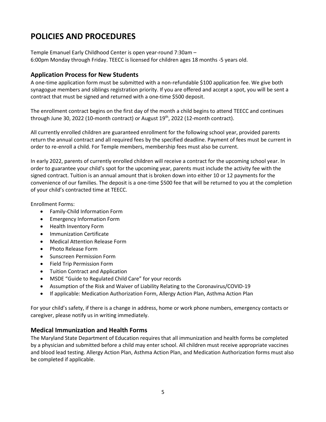# <span id="page-10-0"></span>**POLICIES AND PROCEDURES**

Temple Emanuel Early Childhood Center is open year-round 7:30am – 6:00pm Monday through Friday. TEECC is licensed for children ages 18 months -5 years old.

# <span id="page-10-1"></span>**Application Process for New Students**

A one-time application form must be submitted with a non-refundable \$100 application fee. We give both synagogue members and siblings registration priority. If you are offered and accept a spot, you will be sent a contract that must be signed and returned with a one-time \$500 deposit.

The enrollment contract begins on the first day of the month a child begins to attend TEECC and continues through June 30, 2022 (10-month contract) or August 19<sup>th</sup>, 2022 (12-month contract).

All currently enrolled children are guaranteed enrollment for the following school year, provided parents return the annual contract and all required fees by the specified deadline. Payment of fees must be current in order to re-enroll a child. For Temple members, membership fees must also be current.

In early 2022, parents of currently enrolled children will receive a contract for the upcoming school year. In order to guarantee your child's spot for the upcoming year, parents must include the activity fee with the signed contract. Tuition is an annual amount that is broken down into either 10 or 12 payments for the convenience of our families. The deposit is a one-time \$500 fee that will be returned to you at the completion of your child's contracted time at TEECC.

Enrollment Forms:

- Family-Child Information Form
- Emergency Information Form
- Health Inventory Form
- Immunization Certificate
- Medical Attention Release Form
- Photo Release Form
- Sunscreen Permission Form
- Field Trip Permission Form
- Tuition Contract and Application
- MSDE "Guide to Regulated Child Care" for your records
- Assumption of the Risk and Waiver of Liability Relating to the Coronavirus/COVID-19
- If applicable: Medication Authorization Form, Allergy Action Plan, Asthma Action Plan

For your child's safety, if there is a change in address, home or work phone numbers, emergency contacts or caregiver, please notify us in writing immediately.

# <span id="page-10-2"></span>**Medical Immunization and Health Forms**

The Maryland State Department of Education requires that all immunization and health forms be completed by a physician and submitted before a child may enter school. All children must receive appropriate vaccines and blood lead testing. Allergy Action Plan, Asthma Action Plan, and Medication Authorization forms must also be completed if applicable.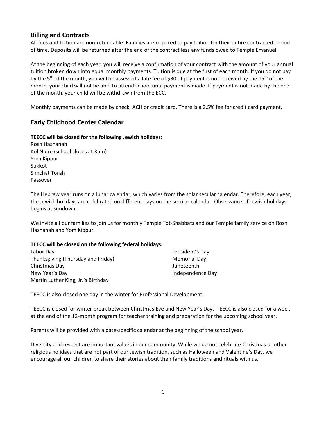# <span id="page-11-0"></span>**Billing and Contracts**

All fees and tuition are non-refundable. Families are required to pay tuition for their entire contracted period of time. Deposits will be returned after the end of the contract less any funds owed to Temple Emanuel.

At the beginning of each year, you will receive a confirmation of your contract with the amount of your annual tuition broken down into equal monthly payments. Tuition is due at the first of each month. If you do not pay by the 5<sup>th</sup> of the month, you will be assessed a late fee of \$30. If payment is not received by the 15<sup>th</sup> of the month, your child will not be able to attend school until payment is made. If payment is not made by the end of the month, your child will be withdrawn from the ECC.

Monthly payments can be made by check, ACH or credit card. There is a 2.5% fee for credit card payment.

# <span id="page-11-1"></span>**Early Childhood Center Calendar**

#### **TEECC will be closed for the following Jewish holidays:**

Rosh Hashanah Kol Nidre (school closes at 3pm) Yom Kippur Sukkot Simchat Torah Passover

The Hebrew year runs on a lunar calendar, which varies from the solar secular calendar. Therefore, each year, the Jewish holidays are celebrated on different days on the secular calendar. Observance of Jewish holidays begins at sundown.

We invite all our families to join us for monthly Temple Tot-Shabbats and our Temple family service on Rosh Hashanah and Yom Kippur.

#### **TEECC will be closed on the following federal holidays:**

| Labor Day                          | President's Day  |
|------------------------------------|------------------|
| Thanksgiving (Thursday and Friday) | Memorial Day     |
| Christmas Day                      | Juneteenth       |
| New Year's Day                     | Independence Day |
| Martin Luther King, Jr.'s Birthday |                  |

TEECC is also closed one day in the winter for Professional Development.

TEECC is closed for winter break between Christmas Eve and New Year's Day. TEECC is also closed for a week at the end of the 12-month program for teacher training and preparation for the upcoming school year.

Parents will be provided with a date-specific calendar at the beginning of the school year.

Diversity and respect are important values in our community. While we do not celebrate Christmas or other religious holidays that are not part of our Jewish tradition, such as Halloween and Valentine's Day, we encourage all our children to share their stories about their family traditions and rituals with us.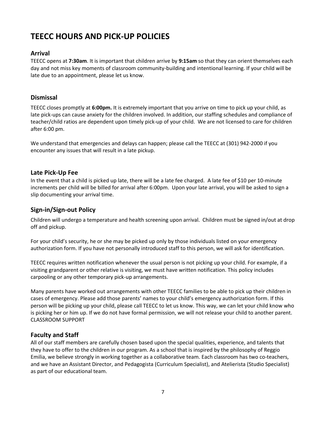# <span id="page-12-0"></span>**TEECC HOURS AND PICK-UP POLICIES**

# <span id="page-12-1"></span>**Arrival**

TEECC opens at **7:30am**. It is important that children arrive by **9:15am** so that they can orient themselves each day and not miss key moments of classroom community-building and intentional learning. If your child will be late due to an appointment, please let us know.

# <span id="page-12-2"></span>**Dismissal**

TEECC closes promptly at **6:00pm.** It is extremely important that you arrive on time to pick up your child, as late pick-ups can cause anxiety for the children involved. In addition, our staffing schedules and compliance of teacher/child ratios are dependent upon timely pick-up of your child. We are not licensed to care for children after 6:00 pm.

We understand that emergencies and delays can happen; please call the TEECC at (301) 942-2000 if you encounter any issues that will result in a late pickup.

# <span id="page-12-3"></span>**Late Pick-Up Fee**

In the event that a child is picked up late, there will be a late fee charged. A late fee of \$10 per 10-minute increments per child will be billed for arrival after 6:00pm. Upon your late arrival, you will be asked to sign a slip documenting your arrival time.

# <span id="page-12-4"></span>**Sign-in/Sign-out Policy**

Children will undergo a temperature and health screening upon arrival. Children must be signed in/out at drop off and pickup.

For your child's security, he or she may be picked up only by those individuals listed on your emergency authorization form. If you have not personally introduced staff to this person, we will ask for identification.

TEECC requires written notification whenever the usual person is not picking up your child. For example, if a visiting grandparent or other relative is visiting, we must have written notification. This policy includes carpooling or any other temporary pick-up arrangements.

Many parents have worked out arrangements with other TEECC families to be able to pick up their children in cases of emergency. Please add those parents' names to your child's emergency authorization form. If this person will be picking up your child, please call TEECC to let us know. This way, we can let your child know who is picking her or him up. If we do not have formal permission, we will not release your child to another parent. CLASSROOM SUPPORT

# <span id="page-12-5"></span>**Faculty and Staff**

All of our staff members are carefully chosen based upon the special qualities, experience, and talents that they have to offer to the children in our program. As a school that is inspired by the philosophy of Reggio Emilia, we believe strongly in working together as a collaborative team. Each classroom has two co-teachers, and we have an Assistant Director, and Pedagogista (Curriculum Specialist), and Atelierista (Studio Specialist) as part of our educational team.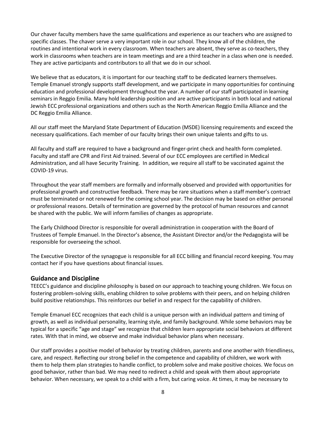Our chaver faculty members have the same qualifications and experience as our teachers who are assigned to specific classes. The chaver serve a very important role in our school. They know all of the children, the routines and intentional work in every classroom. When teachers are absent, they serve as co-teachers, they work in classrooms when teachers are in team meetings and are a third teacher in a class when one is needed. They are active participants and contributors to all that we do in our school.

We believe that as educators, it is important for our teaching staff to be dedicated learners themselves. Temple Emanuel strongly supports staff development, and we participate in many opportunities for continuing education and professional development throughout the year. A number of our staff participated in learning seminars in Reggio Emilia. Many hold leadership position and are active participants in both local and national Jewish ECC professional organizations and others such as the North American Reggio Emilia Alliance and the DC Reggio Emilia Alliance.

All our staff meet the Maryland State Department of Education (MSDE) licensing requirements and exceed the necessary qualifications. Each member of our faculty brings their own unique talents and gifts to us.

All faculty and staff are required to have a background and finger-print check and health form completed. Faculty and staff are CPR and First Aid trained. Several of our ECC employees are certified in Medical Administration, and all have Security Training. In addition, we require all staff to be vaccinated against the COVID-19 virus.

Throughout the year staff members are formally and informally observed and provided with opportunities for professional growth and constructive feedback. There may be rare situations when a staff member's contract must be terminated or not renewed for the coming school year. The decision may be based on either personal or professional reasons. Details of termination are governed by the protocol of human resources and cannot be shared with the public. We will inform families of changes as appropriate.

The Early Childhood Director is responsible for overall administration in cooperation with the Board of Trustees of Temple Emanuel. In the Director's absence, the Assistant Director and/or the Pedagogista will be responsible for overseeing the school.

The Executive Director of the synagogue is responsible for all ECC billing and financial record keeping. You may contact her if you have questions about financial issues.

#### <span id="page-13-0"></span>**Guidance and Discipline**

TEECC's guidance and discipline philosophy is based on our approach to teaching young children. We focus on fostering problem-solving skills, enabling children to solve problems with their peers, and on helping children build positive relationships. This reinforces our belief in and respect for the capability of children.

Temple Emanuel ECC recognizes that each child is a unique person with an individual pattern and timing of growth, as well as individual personality, learning style, and family background. While some behaviors may be typical for a specific "age and stage" we recognize that children learn appropriate social behaviors at different rates. With that in mind, we observe and make individual behavior plans when necessary.

Our staff provides a positive model of behavior by treating children, parents and one another with friendliness, care, and respect. Reflecting our strong belief in the competence and capability of children, we work with them to help them plan strategies to handle conflict, to problem solve and make positive choices. We focus on good behavior, rather than bad. We may need to redirect a child and speak with them about appropriate behavior. When necessary, we speak to a child with a firm, but caring voice. At times, it may be necessary to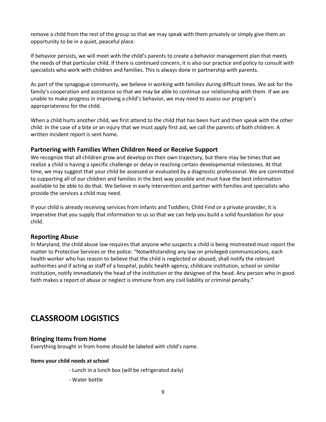remove a child from the rest of the group so that we may speak with them privately or simply give them an opportunity to be in a quiet, peaceful place.

If behavior persists, we will meet with the child's parents to create a behavior management plan that meets the needs of that particular child. If there is continued concern, it is also our practice and policy to consult with specialists who work with children and families. This is always done in partnership with parents.

As part of the synagogue community, we believe in working with families during difficult times. We ask for the family's cooperation and assistance so that we may be able to continue our relationship with them. If we are unable to make progress in improving a child's behavior, we may need to assess our program's appropriateness for the child.

When a child hurts another child, we first attend to the child that has been hurt and then speak with the other child. In the case of a bite or an injury that we must apply first aid, we call the parents of both children. A written incident report is sent home.

## <span id="page-14-0"></span>**Partnering with Families When Children Need or Receive Support**

We recognize that all children grow and develop on their own trajectory, but there may be times that we realize a child is having a specific challenge or delay in reaching certain developmental milestones. At that time, we may suggest that your child be assessed or evaluated by a diagnostic professional. We are committed to supporting all of our children and families in the best way possible and must have the best information available to be able to do that. We believe in early intervention and partner with families and specialists who provide the services a child may need.

If your child is already receiving services from Infants and Toddlers, Child Find or a private provider, it is imperative that you supply that information to us so that we can help you build a solid foundation for your child.

#### <span id="page-14-1"></span>**Reporting Abuse**

In Maryland, the child abuse law requires that anyone who suspects a child is being mistreated must report the matter to Protective Services or the police: "Notwithstanding any law on privileged communications, each health worker who has reason to believe that the child is neglected or abused, shall notify the relevant authorities and if acting as staff of a hospital, public health agency, childcare institution, school or similar institution, notify immediately the head of the institution or the designee of the head. Any person who in good faith makes a report of abuse or neglect is immune from any civil liability or criminal penalty."

# **CLASSROOM LOGISTICS**

## <span id="page-14-2"></span>**Bringing Items from Home**

Everything brought in from home should be labeled with child's name.

#### **Items your child needs at school**

- Lunch in a lunch box (will be refrigerated daily)
- Water bottle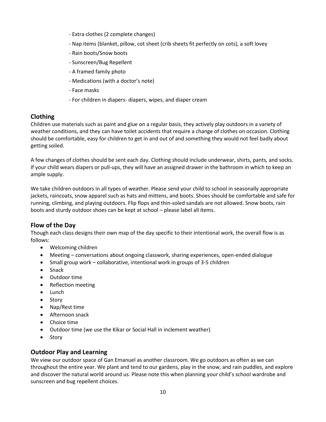- Extra clothes (2 complete changes)
- Nap items (blanket, pillow, cot sheet (crib sheets fit perfectly on cots), a soft lovey
- Rain boots/Snow boots
- Sunscreen/Bug Repellent
- A framed family photo
- Medications (with a doctor's note)
- Face masks
- For children in diapers- diapers, wipes, and diaper cream

# <span id="page-15-0"></span>**Clothing**

Children use materials such as paint and glue on a regular basis, they actively play outdoors in a variety of weather conditions, and they can have toilet accidents that require a change of clothes on occasion. Clothing should be comfortable, easy for children to get in and out of and something they would not feel badly about getting soiled.

A few changes of clothes should be sent each day. Clothing should include underwear, shirts, pants, and socks. If your child wears diapers or pull-ups, they will have an assigned drawer in the bathroom in which to keep an ample supply.

We take children outdoors in all types of weather. Please send your child to school in seasonally appropriate jackets, raincoats, snow apparel such as hats and mittens, and boots. Shoes should be comfortable and safe for running, climbing, and playing outdoors. Flip flops and thin-soled sandals are not allowed. Snow boots, rain boots and sturdy outdoor shoes can be kept at school – please label all items.

# <span id="page-15-1"></span>**Flow of the Day**

Though each class designs their own map of the day specific to their intentional work, the overall flow is as follows:

- Welcoming children
- Meeting conversations about ongoing classwork, sharing experiences, open-ended dialogue
- Small group work collaborative, intentional work in groups of 3-5 children
- Snack
- Outdoor time
- Reflection meeting
- Lunch
- Story
- Nap/Rest time
- Afternoon snack
- Choice time
- Outdoor time (we use the Kikar or Social Hall in inclement weather)
- Story

## <span id="page-15-2"></span>**Outdoor Play and Learning**

We view our outdoor space of Gan Emanuel as another classroom. We go outdoors as often as we can throughout the entire year. We plant and tend to our gardens, play in the snow, and rain puddles, and explore and discover the natural world around us. Please note this when planning your child's school wardrobe and sunscreen and bug repellent choices.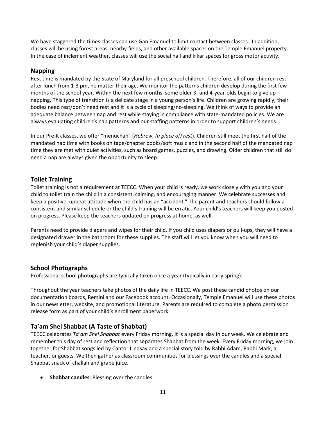We have staggered the times classes can use Gan Emanuel to limit contact between classes. In addition, classes will be using forest areas, nearby fields, and other available spaces on the Temple Emanuel property. In the case of inclement weather, classes will use the social hall and kikar spaces for gross motor activity.

## <span id="page-16-0"></span>**Napping**

Rest time is mandated by the State of Maryland for all preschool children. Therefore, all of our children rest after lunch from 1-3 pm, no matter their age. We monitor the patterns children develop during the first few months of the school year. Within the next few months, some older 3- and 4-year-olds begin to give up napping. This type of transition is a delicate stage in a young person's life. Children are growing rapidly; their bodies need rest/don't need rest and it is a cycle of sleeping/no-sleeping. We think of ways to provide an adequate balance between nap and rest while staying in compliance with state-mandated policies. We are always evaluating children's nap patterns and our staffing patterns in order to support children's needs.

In our Pre-K classes, we offer "menuchah" (*Hebrew, (a place of) rest*). Children still meet the first half of the mandated nap time with books on tape/chapter books/soft music and in the second half of the mandated nap time they are met with quiet activities, such as board games, puzzles, and drawing. Older children that still do need a nap are always given the opportunity to sleep.

# <span id="page-16-1"></span>**Toilet Training**

Toilet training is not a requirement at TEECC. When your child is ready, we work closely with you and your child to toilet train the child in a consistent, calming, and encouraging manner. We celebrate successes and keep a positive, upbeat attitude when the child has an "accident." The parent and teachers should follow a consistent and similar schedule or the child's training will be erratic. Your child's teachers will keep you posted on progress. Please keep the teachers updated on progress at home, as well.

Parents need to provide diapers and wipes for their child. If you child uses diapers or pull-ups, they will have a designated drawer in the bathroom for these supplies. The staff will let you know when you will need to replenish your child's diaper supplies.

# <span id="page-16-2"></span>**School Photographs**

Professional school photographs are typically taken once a year (typically in early spring).

Throughout the year teachers take photos of the daily life in TEECC. We post these candid photos on our documentation boards, Remini and our Facebook account. Occasionally, Temple Emanuel will use these photos in our newsletter, website, and promotional literature. Parents are required to complete a photo permission release form as part of your child's enrollment paperwork.

# <span id="page-16-3"></span>**Ta'am Shel Shabbat (A Taste of Shabbat)**

TEECC celebrates *Ta'am Shel Shabbat* every Friday morning. It is a special day in our week. We celebrate and remember this day of rest and reflection that separates Shabbat from the week. Every Friday morning, we join together for Shabbat songs led by Cantor Lindsay and a special story told by Rabbi Adam, Rabbi Mark, a teacher, or guests. We then gather as classroom communities for blessings over the candles and a special Shabbat snack of challah and grape juice.

• **Shabbat candles**: Blessing over the candles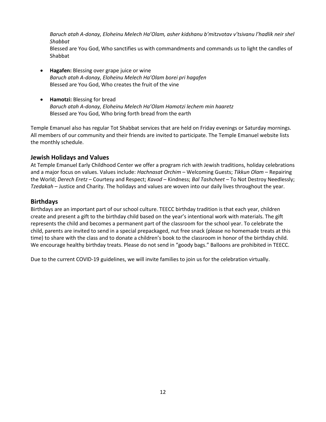Baruch atah A-*donay, Eloheinu Melech Ha'Olam, asher kidshanu b'mitzvotav v'tsivanu l'hadlik neir shel Shabbat*

Blessed are You God, Who sanctifies us with commandments and commands us to light the candles of Shabbat

- **Hagafen:** Blessing over grape juice or wine *Baruch atah A-donay, Eloheinu Melech Ha'Olam borei pri hagafen* Blessed are You God, Who creates the fruit of the vine
- **Hamotzi:** Blessing for bread *Baruch atah A-donay, Eloheinu Melech Ha'Olam Hamotzi lechem min haaretz* Blessed are You God, Who bring forth bread from the earth

Temple Emanuel also has regular Tot Shabbat services that are held on Friday evenings or Saturday mornings. All members of our community and their friends are invited to participate. The Temple Emanuel website lists the monthly schedule.

# <span id="page-17-0"></span>**Jewish Holidays and Values**

At Temple Emanuel Early Childhood Center we offer a program rich with Jewish traditions, holiday celebrations and a major focus on values. Values include: *Hachnasat Orchim* – Welcoming Guests; *Tikkun Olam* – Repairing the World; *Derech Eretz* – Courtesy and Respect; *Kavod* – Kindness; *Bal Tashcheet* – To Not Destroy Needlessly; *Tzedakah* – Justice and Charity. The holidays and values are woven into our daily lives throughout the year.

# <span id="page-17-1"></span>**Birthdays**

Birthdays are an important part of our school culture. TEECC birthday tradition is that each year, children create and present a gift to the birthday child based on the year's intentional work with materials. The gift represents the child and becomes a permanent part of the classroom for the school year. To celebrate the child, parents are invited to send in a special prepackaged, nut free snack (please no homemade treats at this time) to share with the class and to donate a children's book to the classroom in honor of the birthday child. We encourage healthy birthday treats. Please do not send in "goody bags." Balloons are prohibited in TEECC.

Due to the current COVID-19 guidelines, we will invite families to join us for the celebration virtually.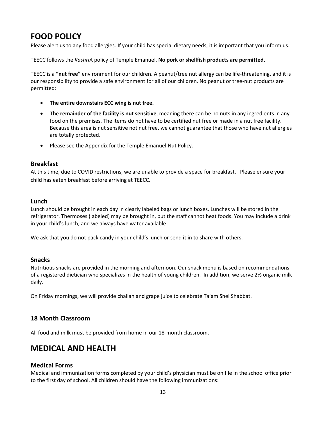# <span id="page-18-0"></span>**FOOD POLICY**

Please alert us to any food allergies. If your child has special dietary needs, it is important that you inform us.

TEECC follows the *Kashru*t policy of Temple Emanuel. **No pork or shellfish products are permitted.**

TEECC is a **"nut free"** environment for our children. A peanut/tree nut allergy can be life-threatening, and it is our responsibility to provide a safe environment for all of our children. No peanut or tree-nut products are permitted:

- **The entire downstairs ECC wing is nut free.**
- **The remainder of the facility is nut sensitive**, meaning there can be no nuts in any ingredients in any food on the premises. The items do not have to be certified nut free or made in a nut free facility. Because this area is nut sensitive not nut free, we cannot guarantee that those who have nut allergies are totally protected.
- Please see the Appendix for the Temple Emanuel Nut Policy.

# <span id="page-18-1"></span>**Breakfast**

At this time, due to COVID restrictions, we are unable to provide a space for breakfast. Please ensure your child has eaten breakfast before arriving at TEECC.

# <span id="page-18-2"></span>**Lunch**

Lunch should be brought in each day in clearly labeled bags or lunch boxes. Lunches will be stored in the refrigerator. Thermoses (labeled) may be brought in, but the staff cannot heat foods. You may include a drink in your child's lunch, and we always have water available.

We ask that you do not pack candy in your child's lunch or send it in to share with others.

## <span id="page-18-3"></span>**Snacks**

Nutritious snacks are provided in the morning and afternoon. Our snack menu is based on recommendations of a registered dietician who specializes in the health of young children. In addition, we serve 2% organic milk daily.

On Friday mornings, we will provide challah and grape juice to celebrate Ta'am Shel Shabbat.

# **18 Month Classroom**

All food and milk must be provided from home in our 18-month classroom.

# <span id="page-18-4"></span>**MEDICAL AND HEALTH**

## <span id="page-18-5"></span>**Medical Forms**

Medical and immunization forms completed by your child's physician must be on file in the school office prior to the first day of school. All children should have the following immunizations: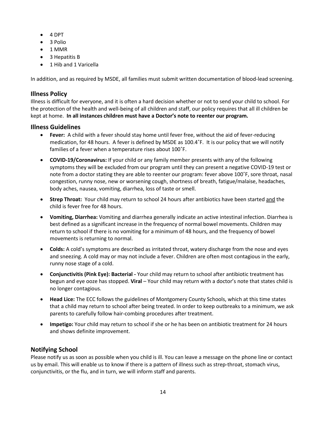- 4 DPT
- 3 Polio
- 1 MMR
- 3 Hepatitis B
- 1 Hib and 1 Varicella

In addition, and as required by MSDE, all families must submit written documentation of blood-lead screening.

# <span id="page-19-0"></span>**Illness Policy**

Illness is difficult for everyone, and it is often a hard decision whether or not to send your child to school. For the protection of the health and well-being of all children and staff, our policy requires that all ill children be kept at home. **In all instances children must have a Doctor's note to reenter our program.**

# <span id="page-19-1"></span>**Illness Guidelines**

- **Fever:** A child with a fever should stay home until fever free, without the aid of fever-reducing medication, for 48 hours. A fever is defined by MSDE as 100.4˚F. It is our policy that we will notify families of a fever when a temperature rises about 100˚F.
- **COVID-19/Coronavirus:** If your child or any family member presents with any of the following symptoms they will be excluded from our program until they can present a negative COVID-19 test or note from a doctor stating they are able to reenter our program: fever above 100˚F, sore throat, nasal congestion, runny nose, new or worsening cough, shortness of breath, fatigue/malaise, headaches, body aches, nausea, vomiting, diarrhea, loss of taste or smell.
- **Strep Throat:** Your child may return to school 24 hours after antibiotics have been started and the child is fever free for 48 hours.
- **Vomiting, Diarrhea:** Vomiting and diarrhea generally indicate an active intestinal infection. Diarrhea is best defined as a significant increase in the frequency of normal bowel movements. Children may return to school if there is no vomiting for a minimum of 48 hours, and the frequency of bowel movements is returning to normal.
- **Colds:** A cold's symptoms are described as irritated throat, watery discharge from the nose and eyes and sneezing. A cold may or may not include a fever. Children are often most contagious in the early, runny nose stage of a cold.
- **Conjunctivitis (Pink Eye): Bacterial -** Your child may return to school after antibiotic treatment has begun and eye ooze has stopped. **Viral** – Your child may return with a doctor's note that states child is no longer contagious.
- **Head Lice:** The ECC follows the guidelines of Montgomery County Schools, which at this time states that a child may return to school after being treated. In order to keep outbreaks to a minimum, we ask parents to carefully follow hair-combing procedures after treatment.
- **Impetigo:** Your child may return to school if she or he has been on antibiotic treatment for 24 hours and shows definite improvement.

# <span id="page-19-2"></span>**Notifying School**

Please notify us as soon as possible when you child is ill. You can leave a message on the phone line or contact us by email. This will enable us to know if there is a pattern of illness such as strep-throat, stomach virus, conjunctivitis, or the flu, and in turn, we will inform staff and parents.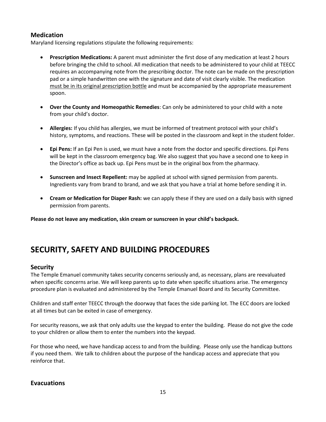# <span id="page-20-0"></span>**Medication**

Maryland licensing regulations stipulate the following requirements:

- **Prescription Medications:** A parent must administer the first dose of any medication at least 2 hours before bringing the child to school. All medication that needs to be administered to your child at TEECC requires an accompanying note from the prescribing doctor. The note can be made on the prescription pad or a simple handwritten one with the signature and date of visit clearly visible. The medication must be in its original prescription bottle and must be accompanied by the appropriate measurement spoon.
- **Over the County and Homeopathic Remedies**: Can only be administered to your child with a note from your child's doctor.
- **Allergies:** If you child has allergies, we must be informed of treatment protocol with your child's history, symptoms, and reactions. These will be posted in the classroom and kept in the student folder.
- **Epi Pens:** If an Epi Pen is used, we must have a note from the doctor and specific directions. Epi Pens will be kept in the classroom emergency bag. We also suggest that you have a second one to keep in the Director's office as back up. Epi Pens must be in the original box from the pharmacy.
- **Sunscreen and Insect Repellent:** may be applied at school with signed permission from parents. Ingredients vary from brand to brand, and we ask that you have a trial at home before sending it in.
- **Cream or Medication for Diaper Rash:** we can apply these if they are used on a daily basis with signed permission from parents.

**Please do not leave any medication, skin cream or sunscreen in your child's backpack.**

# <span id="page-20-1"></span>**SECURITY, SAFETY AND BUILDING PROCEDURES**

# <span id="page-20-2"></span>**Security**

The Temple Emanuel community takes security concerns seriously and, as necessary, plans are reevaluated when specific concerns arise. We will keep parents up to date when specific situations arise. The emergency procedure plan is evaluated and administered by the Temple Emanuel Board and its Security Committee.

Children and staff enter TEECC through the doorway that faces the side parking lot. The ECC doors are locked at all times but can be exited in case of emergency.

For security reasons, we ask that only adults use the keypad to enter the building. Please do not give the code to your children or allow them to enter the numbers into the keypad.

For those who need, we have handicap access to and from the building. Please only use the handicap buttons if you need them. We talk to children about the purpose of the handicap access and appreciate that you reinforce that.

# <span id="page-20-3"></span>**Evacuations**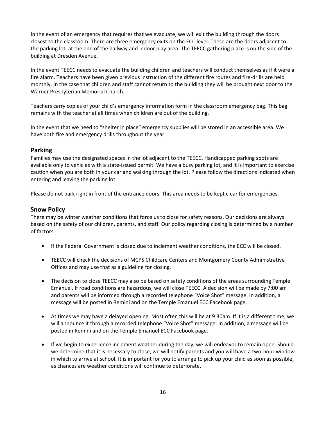In the event of an emergency that requires that we evacuate, we will exit the building through the doors closest to the classroom. There are three emergency exits on the ECC level. These are the doors adjacent to the parking lot, at the end of the hallway and indoor play area. The TEECC gathering place is on the side of the building at Dresden Avenue.

In the event TEECC needs to evacuate the building children and teachers will conduct themselves as if it were a fire alarm. Teachers have been given previous instruction of the different fire routes and fire-drills are held monthly. In the case that children and staff cannot return to the building they will be brought next door to the Warner Presbyterian Memorial Church.

Teachers carry copies of your child's emergency information form in the classroom emergency bag. This bag remains with the teacher at all times when children are out of the building.

In the event that we need to "shelter in place" emergency supplies will be stored in an accessible area. We have both fire and emergency drills throughout the year.

# <span id="page-21-0"></span>**Parking**

Families may use the designated spaces in the lot adjacent to the TEECC. Handicapped parking spots are available only to vehicles with a state-issued permit. We have a busy parking lot, and it is important to exercise caution when you are both in your car and walking through the lot. Please follow the directions indicated when entering and leaving the parking lot.

Please do not park right in front of the entrance doors. This area needs to be kept clear for emergencies.

## <span id="page-21-1"></span>**Snow Policy**

There may be winter weather conditions that force us to close for safety reasons. Our decisions are always based on the safety of our children, parents, and staff. Our policy regarding closing is determined by a number of factors:

- If the Federal Government is closed due to inclement weather conditions, the ECC will be closed.
- TEECC will check the decisions of MCPS Childcare Centers and Montgomery County Administrative Offices and may use that as a guideline for closing.
- The decision to close TEECC may also be based on safety conditions of the areas surrounding Temple Emanuel. If road conditions are hazardous, we will close TEECC. A decision will be made by 7:00 am and parents will be informed through a recorded telephone "Voice Shot" message. In addition, a message will be posted in Remini and on the Temple Emanuel ECC Facebook page.
- At times we may have a delayed opening. Most often this will be at 9:30am. If it is a different time, we will announce it through a recorded telephone "Voice Shot" message. In addition, a message will be posted in Remini and on the Temple Emanuel ECC Facebook page.
- If we begin to experience inclement weather during the day, we will endeavor to remain open. Should we determine that it is necessary to close, we will notify parents and you will have a two-hour window in which to arrive at school. It is important for you to arrange to pick up your child as soon as possible, as chances are weather conditions will continue to deteriorate.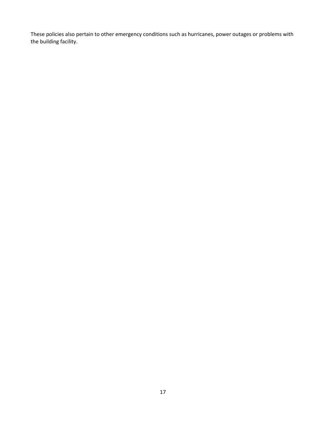These policies also pertain to other emergency conditions such as hurricanes, power outages or problems with the building facility.